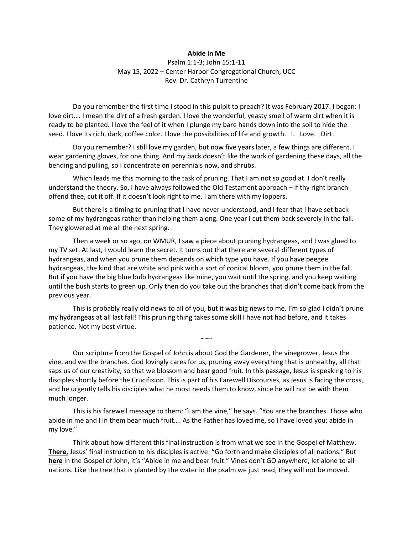## **Abide in Me**

Psalm 1:1-3; John 15:1-11 May 15, 2022 – Center Harbor Congregational Church, UCC Rev. Dr. Cathryn Turrentine

Do you remember the first time I stood in this pulpit to preach? It was February 2017. I began: I love dirt.… I mean the dirt of a fresh garden. I love the wonderful, yeasty smell of warm dirt when it is ready to be planted. I love the feel of it when I plunge my bare hands down into the soil to hide the seed. I love its rich, dark, coffee color. I love the possibilities of life and growth. I. Love. Dirt.

Do you remember? I still love my garden, but now five years later, a few things are different. I wear gardening gloves, for one thing. And my back doesn't like the work of gardening these days, all the bending and pulling, so I concentrate on perennials now, and shrubs.

Which leads me this morning to the task of pruning. That I am not so good at. I don't really understand the theory. So, I have always followed the Old Testament approach – if thy right branch offend thee, cut it off. If it doesn't look right to me, I am there with my loppers.

But there is a timing to pruning that I have never understood, and I fear that I have set back some of my hydrangeas rather than helping them along. One year I cut them back severely in the fall. They glowered at me all the next spring.

Then a week or so ago, on WMUR, I saw a piece about pruning hydrangeas, and I was glued to my TV set. At last, I would learn the secret. It turns out that there are several different types of hydrangeas, and when you prune them depends on which type you have. If you have peegee hydrangeas, the kind that are white and pink with a sort of conical bloom, you prune them in the fall. But if you have the big blue bulb hydrangeas like mine, you wait until the spring, and you keep waiting until the bush starts to green up. Only then do you take out the branches that didn't come back from the previous year.

This is probably really old news to all of you, but it was big news to me. I'm so glad I didn't prune my hydrangeas at all last fall! This pruning thing takes some skill I have not had before, and it takes patience. Not my best virtue.

 $\sim$   $\sim$ 

Our scripture from the Gospel of John is about God the Gardener, the vinegrower, Jesus the vine, and we the branches. God lovingly cares for us, pruning away everything that is unhealthy, all that saps us of our creativity, so that we blossom and bear good fruit. In this passage, Jesus is speaking to his disciples shortly before the Crucifixion. This is part of his Farewell Discourses, as Jesus is facing the cross, and he urgently tells his disciples what he most needs them to know, since he will not be with them much longer.

This is his farewell message to them: "I am the vine," he says. "You are the branches. Those who abide in me and I in them bear much fruit…. As the Father has loved me, so I have loved you; abide in my love."

Think about how different this final instruction is from what we see in the Gospel of Matthew. **There,** Jesus' final instruction to his disciples is active: "Go forth and make disciples of all nations." But **here** in the Gospel of John, it's "Abide in me and bear fruit." Vines don't GO anywhere, let alone to all nations. Like the tree that is planted by the water in the psalm we just read, they will not be moved.